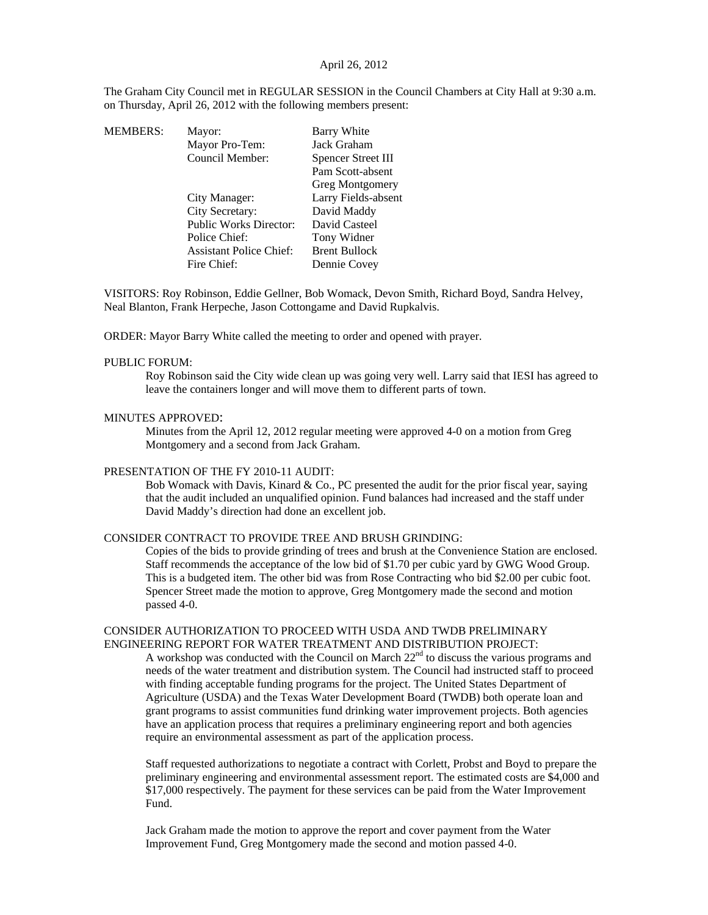## April 26, 2012

The Graham City Council met in REGULAR SESSION in the Council Chambers at City Hall at 9:30 a.m. on Thursday, April 26, 2012 with the following members present:

| MEMBERS: | Mayor:                         | Barry White          |
|----------|--------------------------------|----------------------|
|          | Mayor Pro-Tem:                 | Jack Graham          |
|          | Council Member:                | Spencer Street III   |
|          |                                | Pam Scott-absent     |
|          |                                | Greg Montgomery      |
|          | City Manager:                  | Larry Fields-absent  |
|          | City Secretary:                | David Maddy          |
|          | <b>Public Works Director:</b>  | David Casteel        |
|          | Police Chief:                  | Tony Widner          |
|          | <b>Assistant Police Chief:</b> | <b>Brent Bullock</b> |
|          | Fire Chief:                    | Dennie Covey         |
|          |                                |                      |

VISITORS: Roy Robinson, Eddie Gellner, Bob Womack, Devon Smith, Richard Boyd, Sandra Helvey, Neal Blanton, Frank Herpeche, Jason Cottongame and David Rupkalvis.

ORDER: Mayor Barry White called the meeting to order and opened with prayer.

#### PUBLIC FORUM:

Roy Robinson said the City wide clean up was going very well. Larry said that IESI has agreed to leave the containers longer and will move them to different parts of town.

#### MINUTES APPROVED:

Minutes from the April 12, 2012 regular meeting were approved 4-0 on a motion from Greg Montgomery and a second from Jack Graham.

### PRESENTATION OF THE FY 2010-11 AUDIT:

Bob Womack with Davis, Kinard & Co., PC presented the audit for the prior fiscal year, saying that the audit included an unqualified opinion. Fund balances had increased and the staff under David Maddy's direction had done an excellent job.

### CONSIDER CONTRACT TO PROVIDE TREE AND BRUSH GRINDING:

Copies of the bids to provide grinding of trees and brush at the Convenience Station are enclosed. Staff recommends the acceptance of the low bid of \$1.70 per cubic yard by GWG Wood Group. This is a budgeted item. The other bid was from Rose Contracting who bid \$2.00 per cubic foot. Spencer Street made the motion to approve, Greg Montgomery made the second and motion passed 4-0.

#### CONSIDER AUTHORIZATION TO PROCEED WITH USDA AND TWDB PRELIMINARY ENGINEERING REPORT FOR WATER TREATMENT AND DISTRIBUTION PROJECT:

A workshop was conducted with the Council on March  $22<sup>nd</sup>$  to discuss the various programs and needs of the water treatment and distribution system. The Council had instructed staff to proceed with finding acceptable funding programs for the project. The United States Department of Agriculture (USDA) and the Texas Water Development Board (TWDB) both operate loan and grant programs to assist communities fund drinking water improvement projects. Both agencies have an application process that requires a preliminary engineering report and both agencies require an environmental assessment as part of the application process.

Staff requested authorizations to negotiate a contract with Corlett, Probst and Boyd to prepare the preliminary engineering and environmental assessment report. The estimated costs are \$4,000 and \$17,000 respectively. The payment for these services can be paid from the Water Improvement Fund.

Jack Graham made the motion to approve the report and cover payment from the Water Improvement Fund, Greg Montgomery made the second and motion passed 4-0.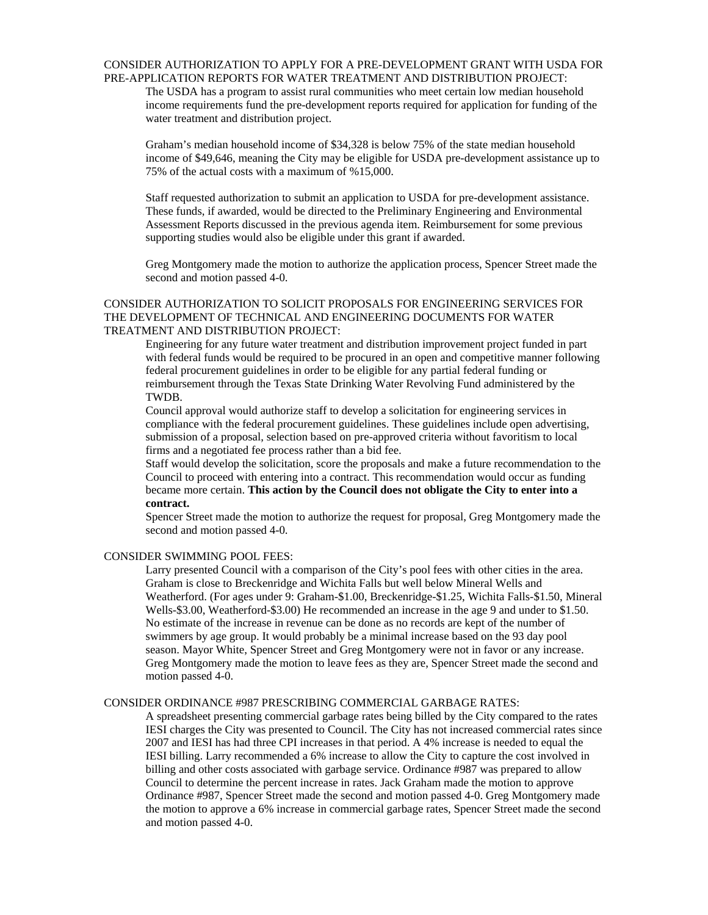#### CONSIDER AUTHORIZATION TO APPLY FOR A PRE-DEVELOPMENT GRANT WITH USDA FOR PRE-APPLICATION REPORTS FOR WATER TREATMENT AND DISTRIBUTION PROJECT:

The USDA has a program to assist rural communities who meet certain low median household income requirements fund the pre-development reports required for application for funding of the water treatment and distribution project.

Graham's median household income of \$34,328 is below 75% of the state median household income of \$49,646, meaning the City may be eligible for USDA pre-development assistance up to 75% of the actual costs with a maximum of %15,000.

Staff requested authorization to submit an application to USDA for pre-development assistance. These funds, if awarded, would be directed to the Preliminary Engineering and Environmental Assessment Reports discussed in the previous agenda item. Reimbursement for some previous supporting studies would also be eligible under this grant if awarded.

Greg Montgomery made the motion to authorize the application process, Spencer Street made the second and motion passed 4-0.

### CONSIDER AUTHORIZATION TO SOLICIT PROPOSALS FOR ENGINEERING SERVICES FOR THE DEVELOPMENT OF TECHNICAL AND ENGINEERING DOCUMENTS FOR WATER TREATMENT AND DISTRIBUTION PROJECT:

Engineering for any future water treatment and distribution improvement project funded in part with federal funds would be required to be procured in an open and competitive manner following federal procurement guidelines in order to be eligible for any partial federal funding or reimbursement through the Texas State Drinking Water Revolving Fund administered by the TWDB.

Council approval would authorize staff to develop a solicitation for engineering services in compliance with the federal procurement guidelines. These guidelines include open advertising, submission of a proposal, selection based on pre-approved criteria without favoritism to local firms and a negotiated fee process rather than a bid fee.

Staff would develop the solicitation, score the proposals and make a future recommendation to the Council to proceed with entering into a contract. This recommendation would occur as funding became more certain. **This action by the Council does not obligate the City to enter into a contract.** 

Spencer Street made the motion to authorize the request for proposal, Greg Montgomery made the second and motion passed 4-0.

### CONSIDER SWIMMING POOL FEES:

Larry presented Council with a comparison of the City's pool fees with other cities in the area. Graham is close to Breckenridge and Wichita Falls but well below Mineral Wells and Weatherford. (For ages under 9: Graham-\$1.00, Breckenridge-\$1.25, Wichita Falls-\$1.50, Mineral Wells-\$3.00, Weatherford-\$3.00) He recommended an increase in the age 9 and under to \$1.50. No estimate of the increase in revenue can be done as no records are kept of the number of swimmers by age group. It would probably be a minimal increase based on the 93 day pool season. Mayor White, Spencer Street and Greg Montgomery were not in favor or any increase. Greg Montgomery made the motion to leave fees as they are, Spencer Street made the second and motion passed 4-0.

### CONSIDER ORDINANCE #987 PRESCRIBING COMMERCIAL GARBAGE RATES:

A spreadsheet presenting commercial garbage rates being billed by the City compared to the rates IESI charges the City was presented to Council. The City has not increased commercial rates since 2007 and IESI has had three CPI increases in that period. A 4% increase is needed to equal the IESI billing. Larry recommended a 6% increase to allow the City to capture the cost involved in billing and other costs associated with garbage service. Ordinance #987 was prepared to allow Council to determine the percent increase in rates. Jack Graham made the motion to approve Ordinance #987, Spencer Street made the second and motion passed 4-0. Greg Montgomery made the motion to approve a 6% increase in commercial garbage rates, Spencer Street made the second and motion passed 4-0.